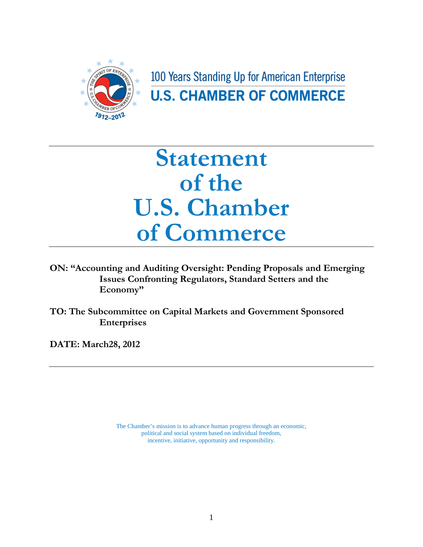

100 Years Standing Up for American Enterprise **U.S. CHAMBER OF COMMERCE** 

## **Statement of the U.S. Chamber of Commerce**

**ON: "Accounting and Auditing Oversight: Pending Proposals and Emerging Issues Confronting Regulators, Standard Setters and the Economy"**

**TO: The Subcommittee on Capital Markets and Government Sponsored Enterprises**

**DATE: March28, 2012**

The Chamber's mission is to advance human progress through an economic, political and social system based on individual freedom, incentive, initiative, opportunity and responsibility.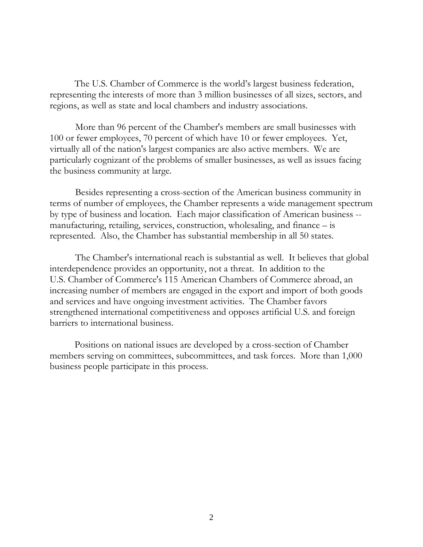The U.S. Chamber of Commerce is the world's largest business federation, representing the interests of more than 3 million businesses of all sizes, sectors, and regions, as well as state and local chambers and industry associations.

More than 96 percent of the Chamber's members are small businesses with 100 or fewer employees, 70 percent of which have 10 or fewer employees. Yet, virtually all of the nation's largest companies are also active members. We are particularly cognizant of the problems of smaller businesses, as well as issues facing the business community at large.

Besides representing a cross-section of the American business community in terms of number of employees, the Chamber represents a wide management spectrum by type of business and location. Each major classification of American business - manufacturing, retailing, services, construction, wholesaling, and finance – is represented. Also, the Chamber has substantial membership in all 50 states.

The Chamber's international reach is substantial as well. It believes that global interdependence provides an opportunity, not a threat. In addition to the U.S. Chamber of Commerce's 115 American Chambers of Commerce abroad, an increasing number of members are engaged in the export and import of both goods and services and have ongoing investment activities. The Chamber favors strengthened international competitiveness and opposes artificial U.S. and foreign barriers to international business.

Positions on national issues are developed by a cross-section of Chamber members serving on committees, subcommittees, and task forces. More than 1,000 business people participate in this process.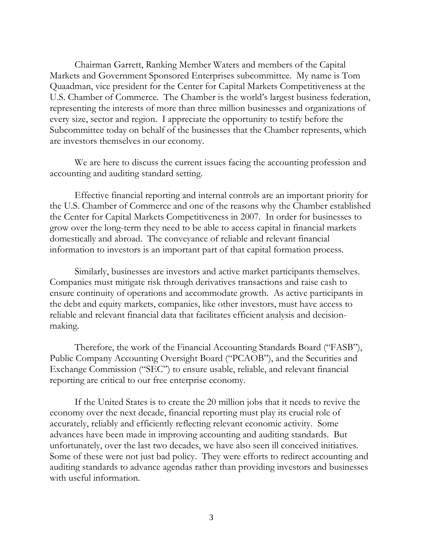Chairman Garrett, Ranking Member Waters and members of the Capital Markets and Government Sponsored Enterprises subcommittee. My name is Tom Quaadman, vice president for the Center for Capital Markets Competitiveness at the U.S. Chamber of Commerce. The Chamber is the world's largest business federation, representing the interests of more than three million businesses and organizations of every size, sector and region. I appreciate the opportunity to testify before the Subcommittee today on behalf of the businesses that the Chamber represents, which are investors themselves in our economy.

We are here to discuss the current issues facing the accounting profession and accounting and auditing standard setting.

Effective financial reporting and internal controls are an important priority for the U.S. Chamber of Commerce and one of the reasons why the Chamber established the Center for Capital Markets Competitiveness in 2007. In order for businesses to grow over the long-term they need to be able to access capital in financial markets domestically and abroad. The conveyance of reliable and relevant financial information to investors is an important part of that capital formation process.

Similarly, businesses are investors and active market participants themselves. Companies must mitigate risk through derivatives transactions and raise cash to ensure continuity of operations and accommodate growth. As active participants in the debt and equity markets, companies, like other investors, must have access to reliable and relevant financial data that facilitates efficient analysis and decisionmaking.

Therefore, the work of the Financial Accounting Standards Board ("FASB"), Public Company Accounting Oversight Board ("PCAOB"), and the Securities and Exchange Commission ("SEC") to ensure usable, reliable, and relevant financial reporting are critical to our free enterprise economy.

If the United States is to create the 20 million jobs that it needs to revive the economy over the next decade, financial reporting must play its crucial role of accurately, reliably and efficiently reflecting relevant economic activity. Some advances have been made in improving accounting and auditing standards. But unfortunately, over the last two decades, we have also seen ill conceived initiatives. Some of these were not just bad policy. They were efforts to redirect accounting and auditing standards to advance agendas rather than providing investors and businesses with useful information.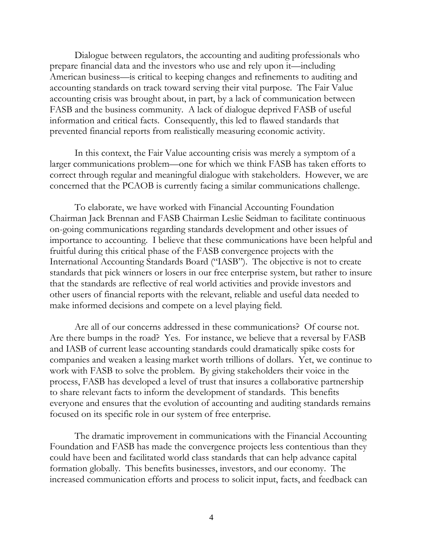Dialogue between regulators, the accounting and auditing professionals who prepare financial data and the investors who use and rely upon it—including American business—is critical to keeping changes and refinements to auditing and accounting standards on track toward serving their vital purpose. The Fair Value accounting crisis was brought about, in part, by a lack of communication between FASB and the business community. A lack of dialogue deprived FASB of useful information and critical facts. Consequently, this led to flawed standards that prevented financial reports from realistically measuring economic activity.

In this context, the Fair Value accounting crisis was merely a symptom of a larger communications problem—one for which we think FASB has taken efforts to correct through regular and meaningful dialogue with stakeholders. However, we are concerned that the PCAOB is currently facing a similar communications challenge.

To elaborate, we have worked with Financial Accounting Foundation Chairman Jack Brennan and FASB Chairman Leslie Seidman to facilitate continuous on-going communications regarding standards development and other issues of importance to accounting. I believe that these communications have been helpful and fruitful during this critical phase of the FASB convergence projects with the International Accounting Standards Board ("IASB"). The objective is not to create standards that pick winners or losers in our free enterprise system, but rather to insure that the standards are reflective of real world activities and provide investors and other users of financial reports with the relevant, reliable and useful data needed to make informed decisions and compete on a level playing field.

Are all of our concerns addressed in these communications? Of course not. Are there bumps in the road? Yes. For instance, we believe that a reversal by FASB and IASB of current lease accounting standards could dramatically spike costs for companies and weaken a leasing market worth trillions of dollars. Yet, we continue to work with FASB to solve the problem. By giving stakeholders their voice in the process, FASB has developed a level of trust that insures a collaborative partnership to share relevant facts to inform the development of standards. This benefits everyone and ensures that the evolution of accounting and auditing standards remains focused on its specific role in our system of free enterprise.

The dramatic improvement in communications with the Financial Accounting Foundation and FASB has made the convergence projects less contentious than they could have been and facilitated world class standards that can help advance capital formation globally. This benefits businesses, investors, and our economy. The increased communication efforts and process to solicit input, facts, and feedback can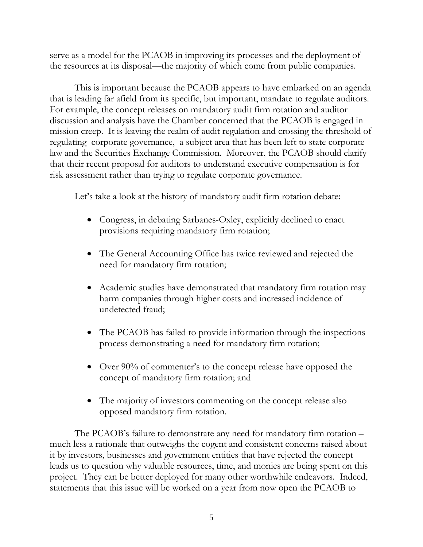serve as a model for the PCAOB in improving its processes and the deployment of the resources at its disposal—the majority of which come from public companies.

This is important because the PCAOB appears to have embarked on an agenda that is leading far afield from its specific, but important, mandate to regulate auditors. For example, the concept releases on mandatory audit firm rotation and auditor discussion and analysis have the Chamber concerned that the PCAOB is engaged in mission creep. It is leaving the realm of audit regulation and crossing the threshold of regulating corporate governance, a subject area that has been left to state corporate law and the Securities Exchange Commission. Moreover, the PCAOB should clarify that their recent proposal for auditors to understand executive compensation is for risk assessment rather than trying to regulate corporate governance.

Let's take a look at the history of mandatory audit firm rotation debate:

- Congress, in debating Sarbanes-Oxley, explicitly declined to enact provisions requiring mandatory firm rotation;
- The General Accounting Office has twice reviewed and rejected the need for mandatory firm rotation;
- Academic studies have demonstrated that mandatory firm rotation may harm companies through higher costs and increased incidence of undetected fraud;
- The PCAOB has failed to provide information through the inspections process demonstrating a need for mandatory firm rotation;
- Over 90% of commenter's to the concept release have opposed the concept of mandatory firm rotation; and
- The majority of investors commenting on the concept release also opposed mandatory firm rotation.

The PCAOB's failure to demonstrate any need for mandatory firm rotation – much less a rationale that outweighs the cogent and consistent concerns raised about it by investors, businesses and government entities that have rejected the concept leads us to question why valuable resources, time, and monies are being spent on this project. They can be better deployed for many other worthwhile endeavors. Indeed, statements that this issue will be worked on a year from now open the PCAOB to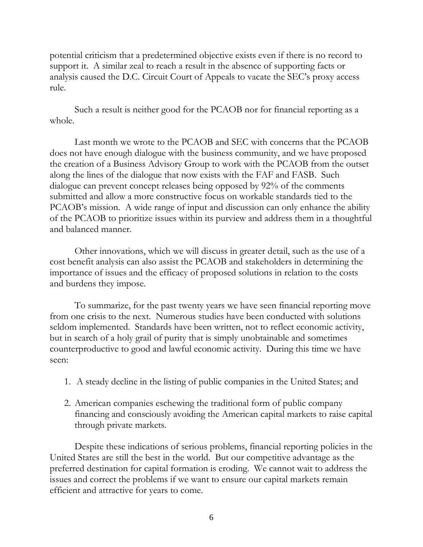potential criticism that a predetermined objective exists even if there is no record to support it. A similar zeal to reach a result in the absence of supporting facts or analysis caused the D.C. Circuit Court of Appeals to vacate the SEC's proxy access rule.

Such a result is neither good for the PCAOB nor for financial reporting as a whole.

Last month we wrote to the PCAOB and SEC with concerns that the PCAOB does not have enough dialogue with the business community, and we have proposed the creation of a Business Advisory Group to work with the PCAOB from the outset along the lines of the dialogue that now exists with the FAF and FASB. Such dialogue can prevent concept releases being opposed by 92% of the comments submitted and allow a more constructive focus on workable standards tied to the PCAOB's mission. A wide range of input and discussion can only enhance the ability of the PCAOB to prioritize issues within its purview and address them in a thoughtful and balanced manner.

Other innovations, which we will discuss in greater detail, such as the use of a cost benefit analysis can also assist the PCAOB and stakeholders in determining the importance of issues and the efficacy of proposed solutions in relation to the costs and burdens they impose.

To summarize, for the past twenty years we have seen financial reporting move from one crisis to the next. Numerous studies have been conducted with solutions seldom implemented. Standards have been written, not to reflect economic activity, but in search of a holy grail of purity that is simply unobtainable and sometimes counterproductive to good and lawful economic activity. During this time we have seen:

- 1. A steady decline in the listing of public companies in the United States; and
- 2. American companies eschewing the traditional form of public company financing and consciously avoiding the American capital markets to raise capital through private markets.

Despite these indications of serious problems, financial reporting policies in the United States are still the best in the world. But our competitive advantage as the preferred destination for capital formation is eroding. We cannot wait to address the issues and correct the problems if we want to ensure our capital markets remain efficient and attractive for years to come.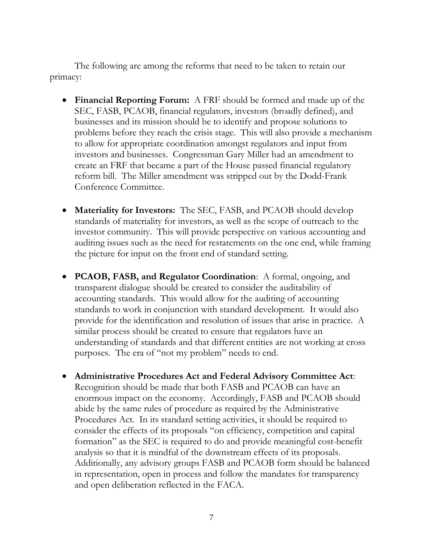The following are among the reforms that need to be taken to retain our primacy:

- **Financial Reporting Forum:** A FRF should be formed and made up of the SEC, FASB, PCAOB, financial regulators, investors (broadly defined), and businesses and its mission should be to identify and propose solutions to problems before they reach the crisis stage. This will also provide a mechanism to allow for appropriate coordination amongst regulators and input from investors and businesses. Congressman Gary Miller had an amendment to create an FRF that became a part of the House passed financial regulatory reform bill. The Miller amendment was stripped out by the Dodd-Frank Conference Committee.
- **Materiality for Investors:** The SEC, FASB, and PCAOB should develop standards of materiality for investors, as well as the scope of outreach to the investor community. This will provide perspective on various accounting and auditing issues such as the need for restatements on the one end, while framing the picture for input on the front end of standard setting.
- **PCAOB, FASB, and Regulator Coordination**: A formal, ongoing, and transparent dialogue should be created to consider the auditability of accounting standards. This would allow for the auditing of accounting standards to work in conjunction with standard development. It would also provide for the identification and resolution of issues that arise in practice. A similar process should be created to ensure that regulators have an understanding of standards and that different entities are not working at cross purposes. The era of "not my problem" needs to end.
- **Administrative Procedures Act and Federal Advisory Committee Act**: Recognition should be made that both FASB and PCAOB can have an enormous impact on the economy. Accordingly, FASB and PCAOB should abide by the same rules of procedure as required by the Administrative Procedures Act. In its standard setting activities, it should be required to consider the effects of its proposals "on efficiency, competition and capital formation" as the SEC is required to do and provide meaningful cost-benefit analysis so that it is mindful of the downstream effects of its proposals. Additionally, any advisory groups FASB and PCAOB form should be balanced in representation, open in process and follow the mandates for transparency and open deliberation reflected in the FACA.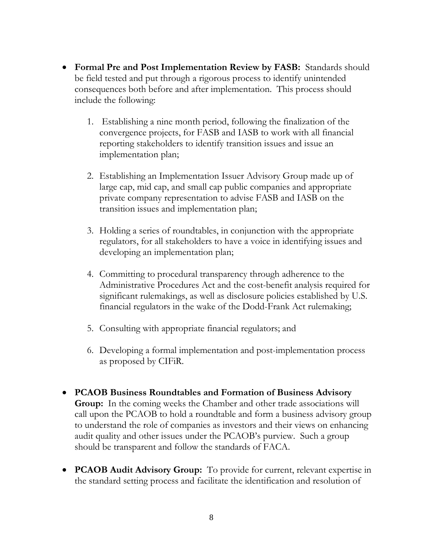- **Formal Pre and Post Implementation Review by FASB:** Standards should be field tested and put through a rigorous process to identify unintended consequences both before and after implementation. This process should include the following:
	- 1. Establishing a nine month period, following the finalization of the convergence projects, for FASB and IASB to work with all financial reporting stakeholders to identify transition issues and issue an implementation plan;
	- 2. Establishing an Implementation Issuer Advisory Group made up of large cap, mid cap, and small cap public companies and appropriate private company representation to advise FASB and IASB on the transition issues and implementation plan;
	- 3. Holding a series of roundtables, in conjunction with the appropriate regulators, for all stakeholders to have a voice in identifying issues and developing an implementation plan;
	- 4. Committing to procedural transparency through adherence to the Administrative Procedures Act and the cost-benefit analysis required for significant rulemakings, as well as disclosure policies established by U.S. financial regulators in the wake of the Dodd-Frank Act rulemaking;
	- 5. Consulting with appropriate financial regulators; and
	- 6. Developing a formal implementation and post-implementation process as proposed by CIFiR.
- **PCAOB Business Roundtables and Formation of Business Advisory Group:** In the coming weeks the Chamber and other trade associations will call upon the PCAOB to hold a roundtable and form a business advisory group to understand the role of companies as investors and their views on enhancing audit quality and other issues under the PCAOB's purview. Such a group should be transparent and follow the standards of FACA.
- **PCAOB Audit Advisory Group:** To provide for current, relevant expertise in the standard setting process and facilitate the identification and resolution of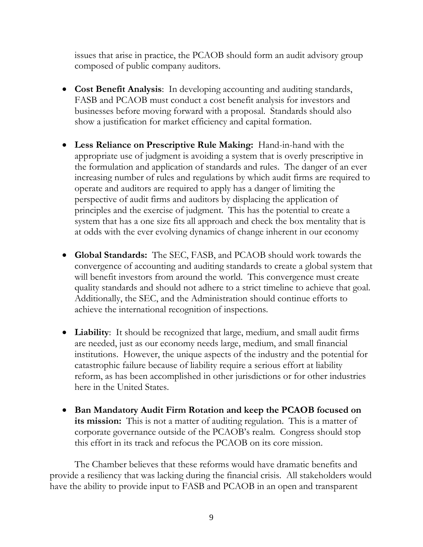issues that arise in practice, the PCAOB should form an audit advisory group composed of public company auditors.

- **Cost Benefit Analysis**: In developing accounting and auditing standards, FASB and PCAOB must conduct a cost benefit analysis for investors and businesses before moving forward with a proposal. Standards should also show a justification for market efficiency and capital formation.
- **Less Reliance on Prescriptive Rule Making:** Hand-in-hand with the appropriate use of judgment is avoiding a system that is overly prescriptive in the formulation and application of standards and rules. The danger of an ever increasing number of rules and regulations by which audit firms are required to operate and auditors are required to apply has a danger of limiting the perspective of audit firms and auditors by displacing the application of principles and the exercise of judgment. This has the potential to create a system that has a one size fits all approach and check the box mentality that is at odds with the ever evolving dynamics of change inherent in our economy
- **Global Standards:** The SEC, FASB, and PCAOB should work towards the convergence of accounting and auditing standards to create a global system that will benefit investors from around the world. This convergence must create quality standards and should not adhere to a strict timeline to achieve that goal. Additionally, the SEC, and the Administration should continue efforts to achieve the international recognition of inspections.
- **Liability**: It should be recognized that large, medium, and small audit firms are needed, just as our economy needs large, medium, and small financial institutions. However, the unique aspects of the industry and the potential for catastrophic failure because of liability require a serious effort at liability reform, as has been accomplished in other jurisdictions or for other industries here in the United States.
- **Ban Mandatory Audit Firm Rotation and keep the PCAOB focused on its mission:** This is not a matter of auditing regulation. This is a matter of corporate governance outside of the PCAOB's realm. Congress should stop this effort in its track and refocus the PCAOB on its core mission.

The Chamber believes that these reforms would have dramatic benefits and provide a resiliency that was lacking during the financial crisis. All stakeholders would have the ability to provide input to FASB and PCAOB in an open and transparent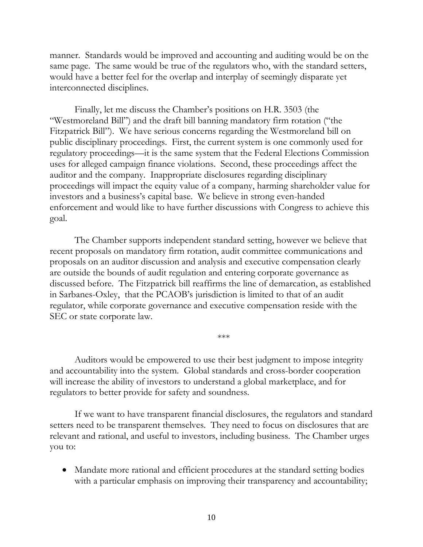manner. Standards would be improved and accounting and auditing would be on the same page. The same would be true of the regulators who, with the standard setters, would have a better feel for the overlap and interplay of seemingly disparate yet interconnected disciplines.

Finally, let me discuss the Chamber's positions on H.R. 3503 (the "Westmoreland Bill") and the draft bill banning mandatory firm rotation ("the Fitzpatrick Bill"). We have serious concerns regarding the Westmoreland bill on public disciplinary proceedings. First, the current system is one commonly used for regulatory proceedings—it is the same system that the Federal Elections Commission uses for alleged campaign finance violations. Second, these proceedings affect the auditor and the company. Inappropriate disclosures regarding disciplinary proceedings will impact the equity value of a company, harming shareholder value for investors and a business's capital base. We believe in strong even-handed enforcement and would like to have further discussions with Congress to achieve this goal.

The Chamber supports independent standard setting, however we believe that recent proposals on mandatory firm rotation, audit committee communications and proposals on an auditor discussion and analysis and executive compensation clearly are outside the bounds of audit regulation and entering corporate governance as discussed before. The Fitzpatrick bill reaffirms the line of demarcation, as established in Sarbanes-Oxley, that the PCAOB's jurisdiction is limited to that of an audit regulator, while corporate governance and executive compensation reside with the SEC or state corporate law.

Auditors would be empowered to use their best judgment to impose integrity and accountability into the system. Global standards and cross-border cooperation will increase the ability of investors to understand a global marketplace, and for regulators to better provide for safety and soundness.

\*\*\*

If we want to have transparent financial disclosures, the regulators and standard setters need to be transparent themselves. They need to focus on disclosures that are relevant and rational, and useful to investors, including business. The Chamber urges you to:

• Mandate more rational and efficient procedures at the standard setting bodies with a particular emphasis on improving their transparency and accountability;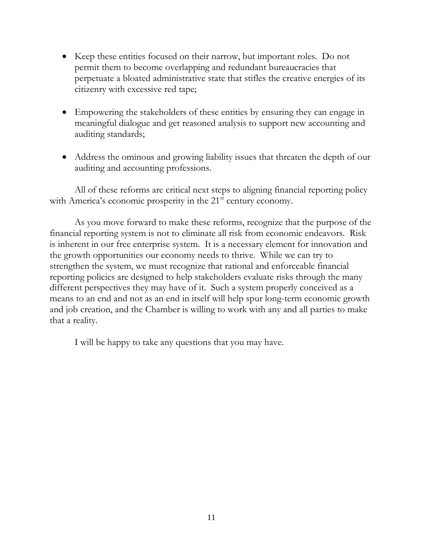- Keep these entities focused on their narrow, but important roles. Do not permit them to become overlapping and redundant bureaucracies that perpetuate a bloated administrative state that stifles the creative energies of its citizenry with excessive red tape;
- Empowering the stakeholders of these entities by ensuring they can engage in meaningful dialogue and get reasoned analysis to support new accounting and auditing standards;
- Address the ominous and growing liability issues that threaten the depth of our auditing and accounting professions.

All of these reforms are critical next steps to aligning financial reporting policy with America's economic prosperity in the 21<sup>st</sup> century economy.

As you move forward to make these reforms, recognize that the purpose of the financial reporting system is not to eliminate all risk from economic endeavors. Risk is inherent in our free enterprise system. It is a necessary element for innovation and the growth opportunities our economy needs to thrive. While we can try to strengthen the system, we must recognize that rational and enforceable financial reporting policies are designed to help stakeholders evaluate risks through the many different perspectives they may have of it. Such a system properly conceived as a means to an end and not as an end in itself will help spur long-term economic growth and job creation, and the Chamber is willing to work with any and all parties to make that a reality.

I will be happy to take any questions that you may have.